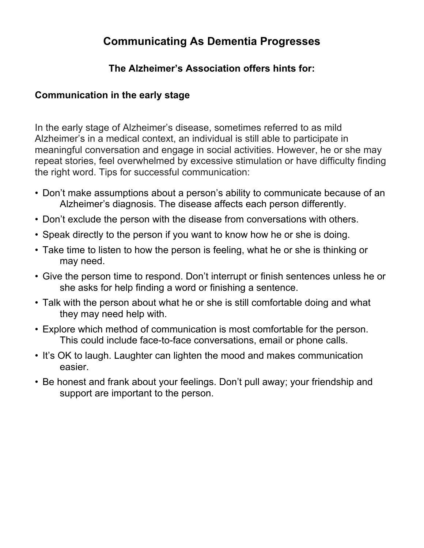# **Communicating As Dementia Progresses**

## **The Alzheimer's Association offers hints for:**

### **Communication in the early stage**

In the early stage of Alzheimer's disease, sometimes referred to as mild Alzheimer's in a medical context, an individual is still able to participate in meaningful conversation and engage in social activities. However, he or she may repeat stories, feel overwhelmed by excessive stimulation or have difficulty finding the right word. Tips for successful communication:

- Don't make assumptions about a person's ability to communicate because of an Alzheimer's diagnosis. The disease affects each person differently.
- Don't exclude the person with the disease from conversations with others.
- Speak directly to the person if you want to know how he or she is doing.
- Take time to listen to how the person is feeling, what he or she is thinking or may need.
- Give the person time to respond. Don't interrupt or finish sentences unless he or she asks for help finding a word or finishing a sentence.
- Talk with the person about what he or she is still comfortable doing and what they may need help with.
- Explore which method of communication is most comfortable for the person. This could include face-to-face conversations, email or phone calls.
- It's OK to laugh. Laughter can lighten the mood and makes communication easier.
- Be honest and frank about your feelings. Don't pull away; your friendship and support are important to the person.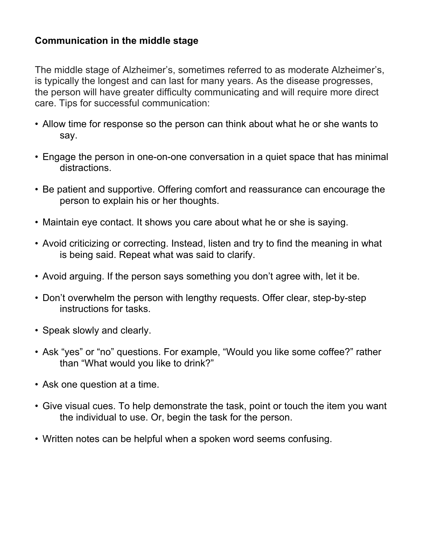### **Communication in the middle stage**

The middle stage of Alzheimer's, sometimes referred to as moderate Alzheimer's, is typically the longest and can last for many years. As the disease progresses, the person will have greater difficulty communicating and will require more direct care. Tips for successful communication:

- Allow time for response so the person can think about what he or she wants to say.
- Engage the person in one-on-one conversation in a quiet space that has minimal distractions.
- Be patient and supportive. Offering comfort and reassurance can encourage the person to explain his or her thoughts.
- Maintain eye contact. It shows you care about what he or she is saying.
- Avoid criticizing or correcting. Instead, listen and try to find the meaning in what is being said. Repeat what was said to clarify.
- Avoid arguing. If the person says something you don't agree with, let it be.
- Don't overwhelm the person with lengthy requests. Offer clear, step-by-step instructions for tasks.
- Speak slowly and clearly.
- Ask "yes" or "no" questions. For example, "Would you like some coffee?" rather than "What would you like to drink?"
- Ask one question at a time.
- Give visual cues. To help demonstrate the task, point or touch the item you want the individual to use. Or, begin the task for the person.
- Written notes can be helpful when a spoken word seems confusing.